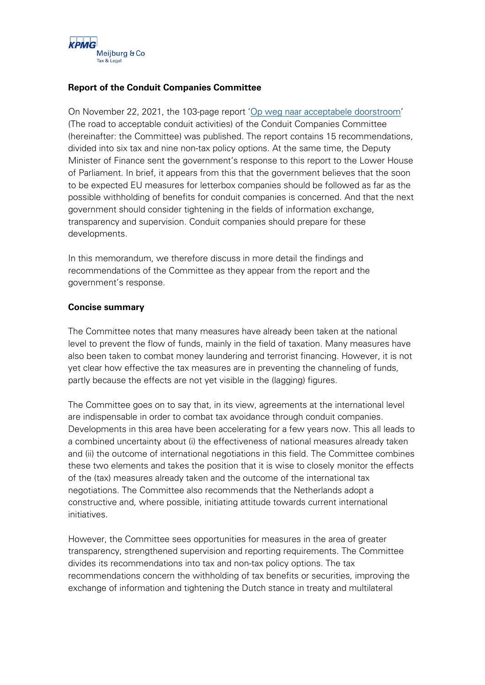

### **Report of the Conduit Companies Committee**

On November 22, 2021, the 103-page report '[Op weg naar acceptabele doorstroom](https://www.rijksoverheid.nl/documenten/kamerstukken/2021/11/22/rapport-commissie-doorstroomvennootschappen-op-weg-naar-acceptabele-doorstroom)' (The road to acceptable conduit activities) of the Conduit Companies Committee (hereinafter: the Committee) was published. The report contains 15 recommendations, divided into six tax and nine non-tax policy options. At the same time, the Deputy Minister of Finance sent the government's response to this report to the Lower House of Parliament. In brief, it appears from this that the government believes that the soon to be expected EU measures for letterbox companies should be followed as far as the possible withholding of benefits for conduit companies is concerned. And that the next government should consider tightening in the fields of information exchange, transparency and supervision. Conduit companies should prepare for these developments.

In this memorandum, we therefore discuss in more detail the findings and recommendations of the Committee as they appear from the report and the government's response.

### **Concise summary**

The Committee notes that many measures have already been taken at the national level to prevent the flow of funds, mainly in the field of taxation. Many measures have also been taken to combat money laundering and terrorist financing. However, it is not yet clear how effective the tax measures are in preventing the channeling of funds, partly because the effects are not yet visible in the (lagging) figures.

The Committee goes on to say that, in its view, agreements at the international level are indispensable in order to combat tax avoidance through conduit companies. Developments in this area have been accelerating for a few years now. This all leads to a combined uncertainty about (i) the effectiveness of national measures already taken and (ii) the outcome of international negotiations in this field. The Committee combines these two elements and takes the position that it is wise to closely monitor the effects of the (tax) measures already taken and the outcome of the international tax negotiations. The Committee also recommends that the Netherlands adopt a constructive and, where possible, initiating attitude towards current international initiatives.

However, the Committee sees opportunities for measures in the area of greater transparency, strengthened supervision and reporting requirements. The Committee divides its recommendations into tax and non-tax policy options. The tax recommendations concern the withholding of tax benefits or securities, improving the exchange of information and tightening the Dutch stance in treaty and multilateral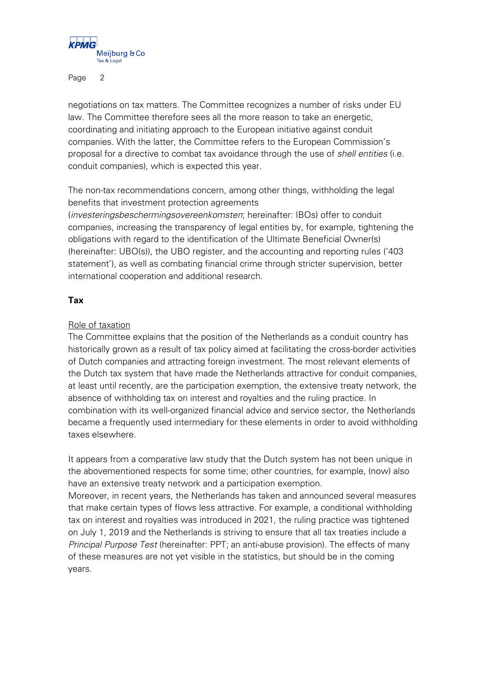

negotiations on tax matters. The Committee recognizes a number of risks under EU law. The Committee therefore sees all the more reason to take an energetic, coordinating and initiating approach to the European initiative against conduit companies. With the latter, the Committee refers to the European Commission's proposal for a directive to combat tax avoidance through the use of shell entities (i.e. conduit companies), which is expected this year.

The non-tax recommendations concern, among other things, withholding the legal benefits that investment protection agreements

(investeringsbeschermingsovereenkomsten; hereinafter: IBOs) offer to conduit companies, increasing the transparency of legal entities by, for example, tightening the obligations with regard to the identification of the Ultimate Beneficial Owner(s) (hereinafter: UBO(s)), the UBO register, and the accounting and reporting rules ('403 statement'), as well as combating financial crime through stricter supervision, better international cooperation and additional research.

## **Tax**

### Role of taxation

The Committee explains that the position of the Netherlands as a conduit country has historically grown as a result of tax policy aimed at facilitating the cross-border activities of Dutch companies and attracting foreign investment. The most relevant elements of the Dutch tax system that have made the Netherlands attractive for conduit companies, at least until recently, are the participation exemption, the extensive treaty network, the absence of withholding tax on interest and royalties and the ruling practice. In combination with its well-organized financial advice and service sector, the Netherlands became a frequently used intermediary for these elements in order to avoid withholding taxes elsewhere.

It appears from a comparative law study that the Dutch system has not been unique in the abovementioned respects for some time; other countries, for example, (now) also have an extensive treaty network and a participation exemption.

Moreover, in recent years, the Netherlands has taken and announced several measures that make certain types of flows less attractive. For example, a conditional withholding tax on interest and royalties was introduced in 2021, the ruling practice was tightened on July 1, 2019 and the Netherlands is striving to ensure that all tax treaties include a Principal Purpose Test (hereinafter: PPT; an anti-abuse provision). The effects of many of these measures are not yet visible in the statistics, but should be in the coming years.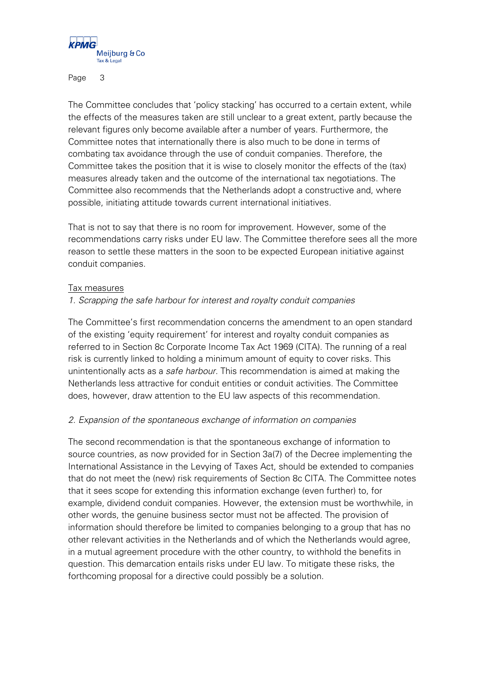

The Committee concludes that 'policy stacking' has occurred to a certain extent, while the effects of the measures taken are still unclear to a great extent, partly because the relevant figures only become available after a number of years. Furthermore, the Committee notes that internationally there is also much to be done in terms of combating tax avoidance through the use of conduit companies. Therefore, the Committee takes the position that it is wise to closely monitor the effects of the (tax) measures already taken and the outcome of the international tax negotiations. The Committee also recommends that the Netherlands adopt a constructive and, where possible, initiating attitude towards current international initiatives.

That is not to say that there is no room for improvement. However, some of the recommendations carry risks under EU law. The Committee therefore sees all the more reason to settle these matters in the soon to be expected European initiative against conduit companies.

#### Tax measures

### 1. Scrapping the safe harbour for interest and royalty conduit companies

The Committee's first recommendation concerns the amendment to an open standard of the existing 'equity requirement' for interest and royalty conduit companies as referred to in Section 8c Corporate Income Tax Act 1969 (CITA). The running of a real risk is currently linked to holding a minimum amount of equity to cover risks. This unintentionally acts as a safe harbour. This recommendation is aimed at making the Netherlands less attractive for conduit entities or conduit activities. The Committee does, however, draw attention to the EU law aspects of this recommendation.

### 2. Expansion of the spontaneous exchange of information on companies

The second recommendation is that the spontaneous exchange of information to source countries, as now provided for in Section 3a(7) of the Decree implementing the International Assistance in the Levying of Taxes Act, should be extended to companies that do not meet the (new) risk requirements of Section 8c CITA. The Committee notes that it sees scope for extending this information exchange (even further) to, for example, dividend conduit companies. However, the extension must be worthwhile, in other words, the genuine business sector must not be affected. The provision of information should therefore be limited to companies belonging to a group that has no other relevant activities in the Netherlands and of which the Netherlands would agree, in a mutual agreement procedure with the other country, to withhold the benefits in question. This demarcation entails risks under EU law. To mitigate these risks, the forthcoming proposal for a directive could possibly be a solution.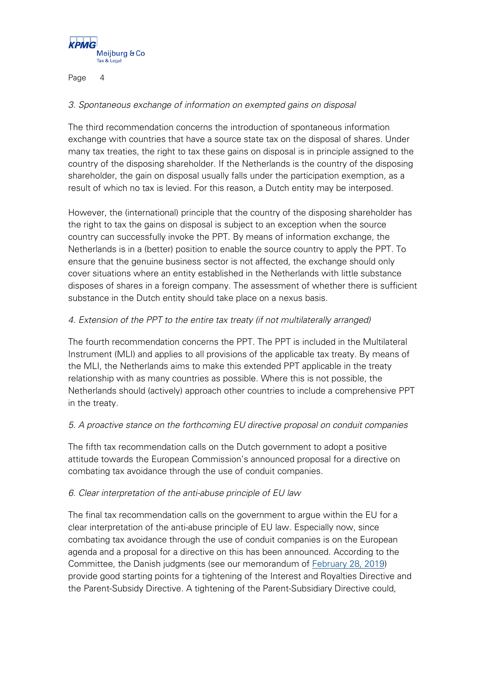

## 3. Spontaneous exchange of information on exempted gains on disposal

The third recommendation concerns the introduction of spontaneous information exchange with countries that have a source state tax on the disposal of shares. Under many tax treaties, the right to tax these gains on disposal is in principle assigned to the country of the disposing shareholder. If the Netherlands is the country of the disposing shareholder, the gain on disposal usually falls under the participation exemption, as a result of which no tax is levied. For this reason, a Dutch entity may be interposed.

However, the (international) principle that the country of the disposing shareholder has the right to tax the gains on disposal is subject to an exception when the source country can successfully invoke the PPT. By means of information exchange, the Netherlands is in a (better) position to enable the source country to apply the PPT. To ensure that the genuine business sector is not affected, the exchange should only cover situations where an entity established in the Netherlands with little substance disposes of shares in a foreign company. The assessment of whether there is sufficient substance in the Dutch entity should take place on a nexus basis.

## 4. Extension of the PPT to the entire tax treaty (if not multilaterally arranged)

The fourth recommendation concerns the PPT. The PPT is included in the Multilateral Instrument (MLI) and applies to all provisions of the applicable tax treaty. By means of the MLI, the Netherlands aims to make this extended PPT applicable in the treaty relationship with as many countries as possible. Where this is not possible, the Netherlands should (actively) approach other countries to include a comprehensive PPT in the treaty.

## 5. A proactive stance on the forthcoming EU directive proposal on conduit companies

The fifth tax recommendation calls on the Dutch government to adopt a positive attitude towards the European Commission's announced proposal for a directive on combating tax avoidance through the use of conduit companies.

## 6. Clear interpretation of the anti-abuse principle of EU law

The final tax recommendation calls on the government to argue within the EU for a clear interpretation of the anti-abuse principle of EU law. Especially now, since combating tax avoidance through the use of conduit companies is on the European agenda and a proposal for a directive on this has been announced. According to the Committee, the Danish judgments (see our memorandum of [February 28, 2019\)](https://meijburg.com/news/cjeu-decision-beneficial-owner-concept-under-interest-and-royalties-directive-and-parent) provide good starting points for a tightening of the Interest and Royalties Directive and the Parent-Subsidy Directive. A tightening of the Parent-Subsidiary Directive could,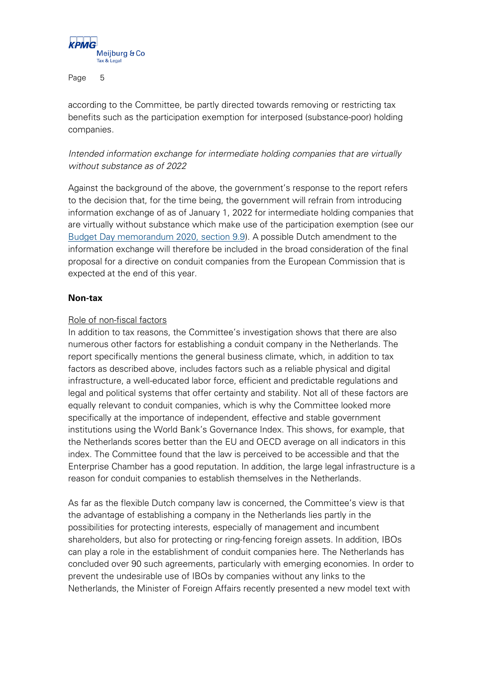

according to the Committee, be partly directed towards removing or restricting tax benefits such as the participation exemption for interposed (substance-poor) holding companies.

# Intended information exchange for intermediate holding companies that are virtually without substance as of 2022

Against the background of the above, the government's response to the report refers to the decision that, for the time being, the government will refrain from introducing information exchange of as of January 1, 2022 for intermediate holding companies that are virtually without substance which make use of the participation exemption (see our [Budget Day memorandum 2020, section 9.9\)](https://meijburg.com/sites/default/files/2020-09/Memorandum%202021%20Tax%20Plan_2.pdf). A possible Dutch amendment to the information exchange will therefore be included in the broad consideration of the final proposal for a directive on conduit companies from the European Commission that is expected at the end of this year.

### **Non-tax**

### Role of non-fiscal factors

In addition to tax reasons, the Committee's investigation shows that there are also numerous other factors for establishing a conduit company in the Netherlands. The report specifically mentions the general business climate, which, in addition to tax factors as described above, includes factors such as a reliable physical and digital infrastructure, a well-educated labor force, efficient and predictable regulations and legal and political systems that offer certainty and stability. Not all of these factors are equally relevant to conduit companies, which is why the Committee looked more specifically at the importance of independent, effective and stable government institutions using the World Bank's Governance Index. This shows, for example, that the Netherlands scores better than the EU and OECD average on all indicators in this index. The Committee found that the law is perceived to be accessible and that the Enterprise Chamber has a good reputation. In addition, the large legal infrastructure is a reason for conduit companies to establish themselves in the Netherlands.

As far as the flexible Dutch company law is concerned, the Committee's view is that the advantage of establishing a company in the Netherlands lies partly in the possibilities for protecting interests, especially of management and incumbent shareholders, but also for protecting or ring-fencing foreign assets. In addition, IBOs can play a role in the establishment of conduit companies here. The Netherlands has concluded over 90 such agreements, particularly with emerging economies. In order to prevent the undesirable use of IBOs by companies without any links to the Netherlands, the Minister of Foreign Affairs recently presented a new model text with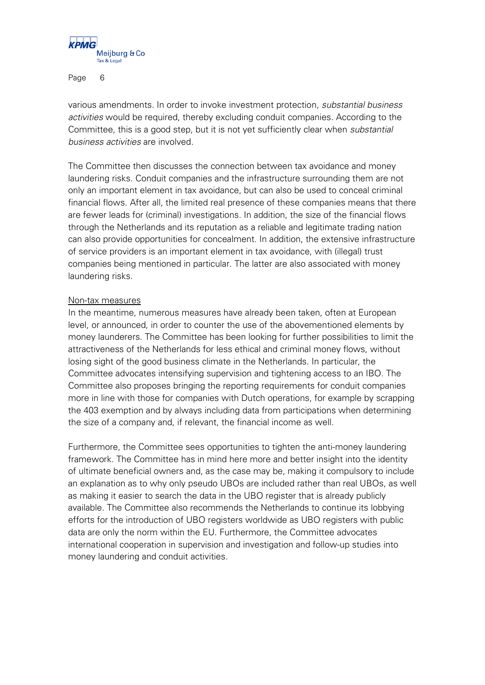

various amendments. In order to invoke investment protection, substantial business activities would be required, thereby excluding conduit companies. According to the Committee, this is a good step, but it is not yet sufficiently clear when substantial business activities are involved.

The Committee then discusses the connection between tax avoidance and money laundering risks. Conduit companies and the infrastructure surrounding them are not only an important element in tax avoidance, but can also be used to conceal criminal financial flows. After all, the limited real presence of these companies means that there are fewer leads for (criminal) investigations. In addition, the size of the financial flows through the Netherlands and its reputation as a reliable and legitimate trading nation can also provide opportunities for concealment. In addition, the extensive infrastructure of service providers is an important element in tax avoidance, with (illegal) trust companies being mentioned in particular. The latter are also associated with money laundering risks.

### Non-tax measures

In the meantime, numerous measures have already been taken, often at European level, or announced, in order to counter the use of the abovementioned elements by money launderers. The Committee has been looking for further possibilities to limit the attractiveness of the Netherlands for less ethical and criminal money flows, without losing sight of the good business climate in the Netherlands. In particular, the Committee advocates intensifying supervision and tightening access to an IBO. The Committee also proposes bringing the reporting requirements for conduit companies more in line with those for companies with Dutch operations, for example by scrapping the 403 exemption and by always including data from participations when determining the size of a company and, if relevant, the financial income as well.

Furthermore, the Committee sees opportunities to tighten the anti-money laundering framework. The Committee has in mind here more and better insight into the identity of ultimate beneficial owners and, as the case may be, making it compulsory to include an explanation as to why only pseudo UBOs are included rather than real UBOs, as well as making it easier to search the data in the UBO register that is already publicly available. The Committee also recommends the Netherlands to continue its lobbying efforts for the introduction of UBO registers worldwide as UBO registers with public data are only the norm within the EU. Furthermore, the Committee advocates international cooperation in supervision and investigation and follow-up studies into money laundering and conduit activities.